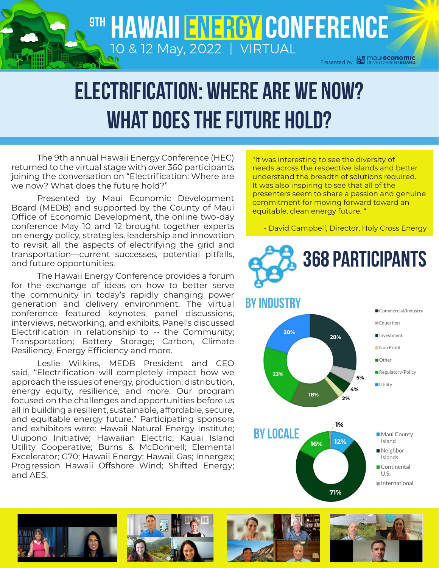## 9TH HAWAII ENERGY CONFERENCE 10 & 12 May, 2022 | VIRTUAL

**Presented by SEP Maureconomic**<br>Presented by SEP DEVELOPMENTBOARD

# Electrification: Where are we now? What does the Future hold?

The 9th annual Hawaii Energy Conference (HEC) returned to the virtual stage with over 360 participants joining the conversation on "Electrification: Where are we now? What does the future hold?"

Presented by Maui Economic Development Board (MEDB) and supported by the County of Maui Office of Economic Development, the online two-day conference May 10 and 12 brought together experts on energy policy, strategies, leadership and innovation to revisit all the aspects of electrifying the grid and transportation—current successes, potential pitfalls, and future opportunities.

The Hawaii Energy Conference provides a forum for the exchange of ideas on how to better serve the community in today's rapidly changing power generation and delivery environment. The virtual conference featured keynotes, panel discussions, interviews, networking, and exhibits. Panel's discussed Electrification in relationship to -- the Community; Transportation; Battery Storage; Carbon, Climate Resiliency, Energy Efficiency and more.

Leslie Wilkins, MEDB President and CEO said, "Electrification will completely impact how we approach the issues of energy, production, distribution, energy equity, resilience, and more. Our program focused on the challenges and opportunities before us all in building a resilient, sustainable, affordable, secure, and equitable energy future." Participating sponsors and exhibitors were: Hawaii Natural Energy Institute; Ulupono Initiative; Hawaiian Electric; Kauai Island Utility Cooperative; Burns & McDonnell; Elemental Excelerator; G70; Hawaii Energy; Hawaii Gas; Innergex; Progression Hawaii Offshore Wind; Shifted Energy; and AES.

"It was interesting to see the diversity of needs across the respective islands and better understand the breadth of solutions required. It was also inspiring to see that all of the presenters seem to share a passion and genuine commitment for moving forward toward an equitable, clean energy future. "

- David Campbell, Director, Holy Cross Energy